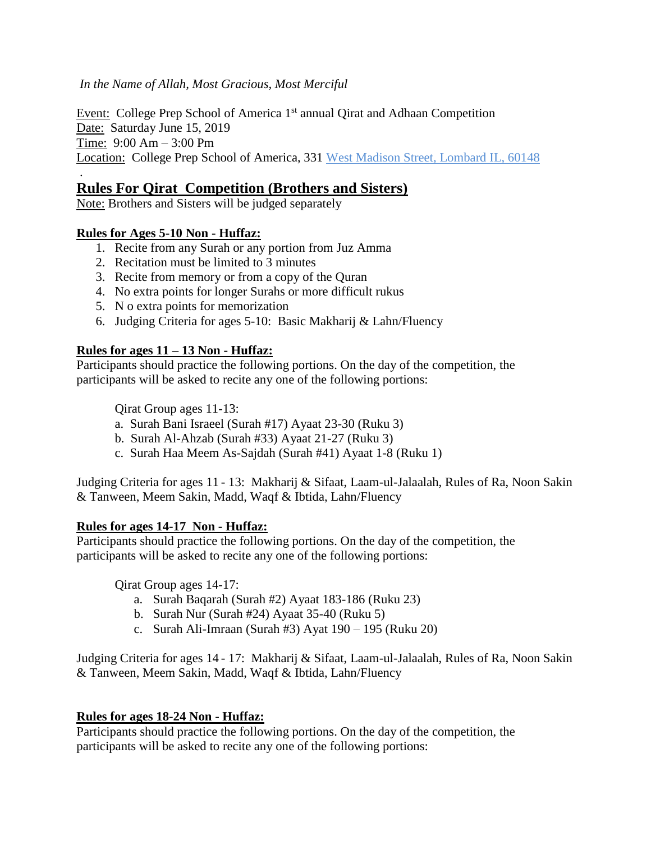*In the Name of Allah, Most Gracious, Most Merciful*

Event: College Prep School of America 1<sup>st</sup> annual Qirat and Adhaan Competition Date: Saturday June 15, 2019 Time: 9:00 Am – 3:00 Pm Location: College Prep School of America, 331 West Madison Street, Lombard IL, 60148

## . **Rules For Qirat Competition (Brothers and Sisters)**

Note: Brothers and Sisters will be judged separately

## **Rules for Ages 5-10 Non - Huffaz:**

- 1. Recite from any Surah or any portion from Juz Amma
- 2. Recitation must be limited to 3 minutes
- 3. Recite from memory or from a copy of the Quran
- 4. No extra points for longer Surahs or more difficult rukus
- 5. N o extra points for memorization
- 6. Judging Criteria for ages 5-10: Basic Makharij & Lahn/Fluency

## **Rules for ages 11 – 13 Non - Huffaz:**

Participants should practice the following portions. On the day of the competition, the participants will be asked to recite any one of the following portions:

Qirat Group ages 11-13:

- a. Surah Bani Israeel (Surah #17) Ayaat 23-30 (Ruku 3)
- b. Surah Al-Ahzab (Surah #33) Ayaat 21-27 (Ruku 3)
- c. Surah Haa Meem As-Sajdah (Surah #41) Ayaat 1-8 (Ruku 1)

Judging Criteria for ages 11 - 13: Makharij & Sifaat, Laam-ul-Jalaalah, Rules of Ra, Noon Sakin & Tanween, Meem Sakin, Madd, Waqf & Ibtida, Lahn/Fluency

#### **Rules for ages 14-17 Non - Huffaz:**

Participants should practice the following portions. On the day of the competition, the participants will be asked to recite any one of the following portions:

Qirat Group ages 14-17:

- a. Surah Baqarah (Surah #2) Ayaat 183-186 (Ruku 23)
- b. Surah Nur (Surah #24) Ayaat 35-40 (Ruku 5)
- c. Surah Ali-Imraan (Surah #3) Ayat 190 195 (Ruku 20)

Judging Criteria for ages 14 - 17: Makharij & Sifaat, Laam-ul-Jalaalah, Rules of Ra, Noon Sakin & Tanween, Meem Sakin, Madd, Waqf & Ibtida, Lahn/Fluency

#### **Rules for ages 18-24 Non - Huffaz:**

Participants should practice the following portions. On the day of the competition, the participants will be asked to recite any one of the following portions: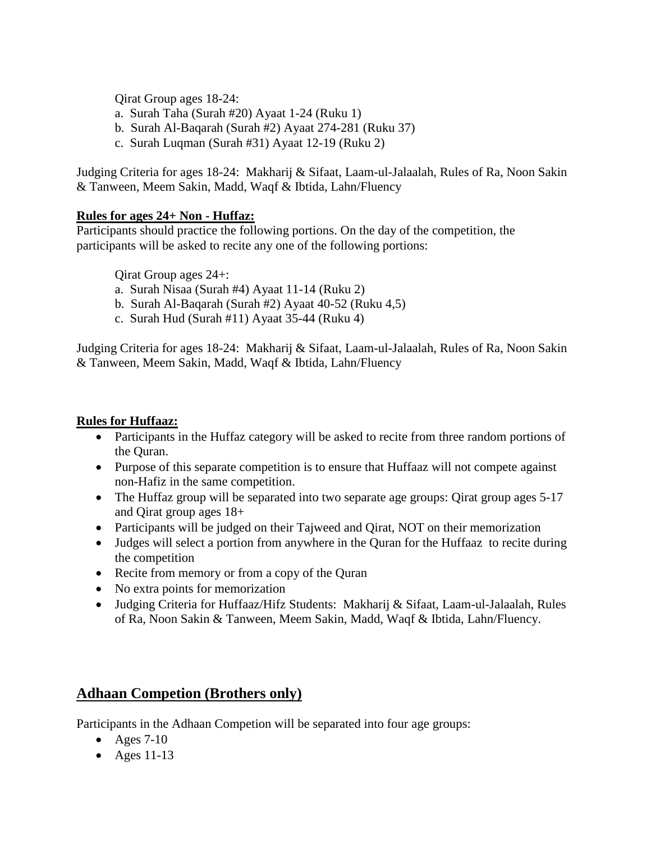Qirat Group ages 18-24:

- a. Surah Taha (Surah #20) Ayaat 1-24 (Ruku 1)
- b. Surah Al-Baqarah (Surah #2) Ayaat 274-281 (Ruku 37)
- c. Surah Luqman (Surah #31) Ayaat 12-19 (Ruku 2)

Judging Criteria for ages 18-24: Makharij & Sifaat, Laam-ul-Jalaalah, Rules of Ra, Noon Sakin & Tanween, Meem Sakin, Madd, Waqf & Ibtida, Lahn/Fluency

## **Rules for ages 24+ Non - Huffaz:**

Participants should practice the following portions. On the day of the competition, the participants will be asked to recite any one of the following portions:

Qirat Group ages 24+:

- a. Surah Nisaa (Surah #4) Ayaat 11-14 (Ruku 2)
- b. Surah Al-Baqarah (Surah #2) Ayaat 40-52 (Ruku 4,5)
- c. Surah Hud (Surah #11) Ayaat 35-44 (Ruku 4)

Judging Criteria for ages 18-24: Makharij & Sifaat, Laam-ul-Jalaalah, Rules of Ra, Noon Sakin & Tanween, Meem Sakin, Madd, Waqf & Ibtida, Lahn/Fluency

#### **Rules for Huffaaz:**

- Participants in the Huffaz category will be asked to recite from three random portions of the Quran.
- Purpose of this separate competition is to ensure that Huffaaz will not compete against non-Hafiz in the same competition.
- The Huffaz group will be separated into two separate age groups: Qirat group ages 5-17 and Qirat group ages 18+
- Participants will be judged on their Tajweed and Oirat, NOT on their memorization
- Judges will select a portion from anywhere in the Quran for the Huffaaz to recite during the competition
- Recite from memory or from a copy of the Quran
- No extra points for memorization
- Judging Criteria for Huffaaz/Hifz Students: Makharij & Sifaat, Laam-ul-Jalaalah, Rules of Ra, Noon Sakin & Tanween, Meem Sakin, Madd, Waqf & Ibtida, Lahn/Fluency.

# **Adhaan Competion (Brothers only)**

Participants in the Adhaan Competion will be separated into four age groups:

- Ages  $7-10$
- Ages  $11-13$